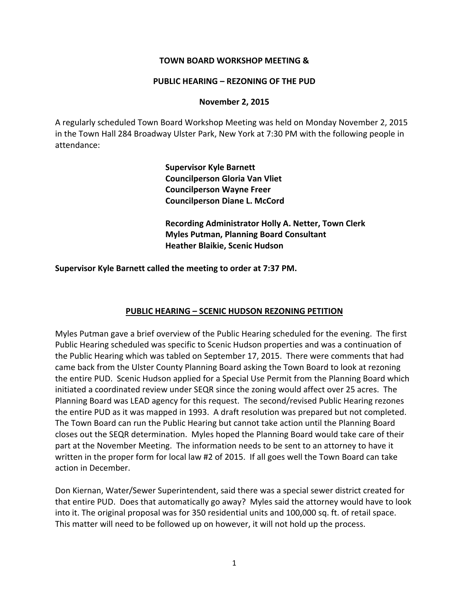### **TOWN BOARD WORKSHOP MEETING &**

#### **PUBLIC HEARING – REZONING OF THE PUD**

#### **November 2, 2015**

A regularly scheduled Town Board Workshop Meeting was held on Monday November 2, 2015 in the Town Hall 284 Broadway Ulster Park, New York at 7:30 PM with the following people in attendance:

> **Supervisor Kyle Barnett Councilperson Gloria Van Vliet Councilperson Wayne Freer Councilperson Diane L. McCord**

**Recording Administrator Holly A. Netter, Town Clerk Myles Putman, Planning Board Consultant Heather Blaikie, Scenic Hudson**

**Supervisor Kyle Barnett called the meeting to order at 7:37 PM.** 

### **PUBLIC HEARING – SCENIC HUDSON REZONING PETITION**

Myles Putman gave a brief overview of the Public Hearing scheduled for the evening. The first Public Hearing scheduled was specific to Scenic Hudson properties and was a continuation of the Public Hearing which was tabled on September 17, 2015. There were comments that had came back from the Ulster County Planning Board asking the Town Board to look at rezoning the entire PUD. Scenic Hudson applied for a Special Use Permit from the Planning Board which initiated a coordinated review under SEQR since the zoning would affect over 25 acres. The Planning Board was LEAD agency for this request. The second/revised Public Hearing rezones the entire PUD as it was mapped in 1993. A draft resolution was prepared but not completed. The Town Board can run the Public Hearing but cannot take action until the Planning Board closes out the SEQR determination. Myles hoped the Planning Board would take care of their part at the November Meeting. The information needs to be sent to an attorney to have it written in the proper form for local law #2 of 2015. If all goes well the Town Board can take action in December.

Don Kiernan, Water/Sewer Superintendent, said there was a special sewer district created for that entire PUD. Does that automatically go away? Myles said the attorney would have to look into it. The original proposal was for 350 residential units and 100,000 sq. ft. of retail space. This matter will need to be followed up on however, it will not hold up the process.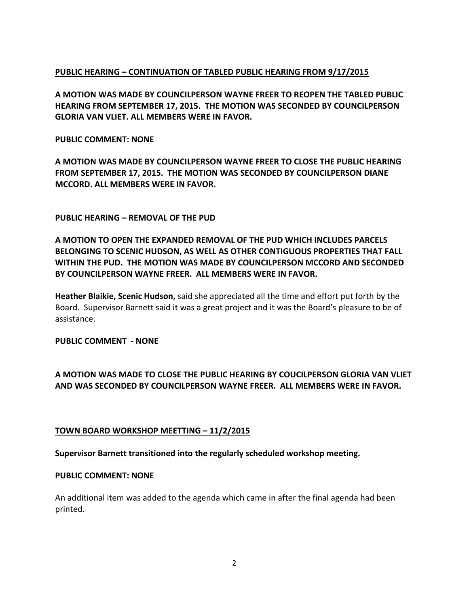# **PUBLIC HEARING – CONTINUATION OF TABLED PUBLIC HEARING FROM 9/17/2015**

**A MOTION WAS MADE BY COUNCILPERSON WAYNE FREER TO REOPEN THE TABLED PUBLIC HEARING FROM SEPTEMBER 17, 2015. THE MOTION WAS SECONDED BY COUNCILPERSON GLORIA VAN VLIET. ALL MEMBERS WERE IN FAVOR.**

### **PUBLIC COMMENT: NONE**

**A MOTION WAS MADE BY COUNCILPERSON WAYNE FREER TO CLOSE THE PUBLIC HEARING FROM SEPTEMBER 17, 2015. THE MOTION WAS SECONDED BY COUNCILPERSON DIANE MCCORD. ALL MEMBERS WERE IN FAVOR.**

## **PUBLIC HEARING – REMOVAL OF THE PUD**

**A MOTION TO OPEN THE EXPANDED REMOVAL OF THE PUD WHICH INCLUDES PARCELS BELONGING TO SCENIC HUDSON, AS WELL AS OTHER CONTIGUOUS PROPERTIES THAT FALL WITHIN THE PUD. THE MOTION WAS MADE BY COUNCILPERSON MCCORD AND SECONDED BY COUNCILPERSON WAYNE FREER. ALL MEMBERS WERE IN FAVOR.**

**Heather Blaikie, Scenic Hudson,** said she appreciated all the time and effort put forth by the Board. Supervisor Barnett said it was a great project and it was the Board's pleasure to be of assistance.

### **PUBLIC COMMENT - NONE**

# **A MOTION WAS MADE TO CLOSE THE PUBLIC HEARING BY COUCILPERSON GLORIA VAN VLIET AND WAS SECONDED BY COUNCILPERSON WAYNE FREER. ALL MEMBERS WERE IN FAVOR.**

### **TOWN BOARD WORKSHOP MEETTING – 11/2/2015**

### **Supervisor Barnett transitioned into the regularly scheduled workshop meeting.**

#### **PUBLIC COMMENT: NONE**

An additional item was added to the agenda which came in after the final agenda had been printed.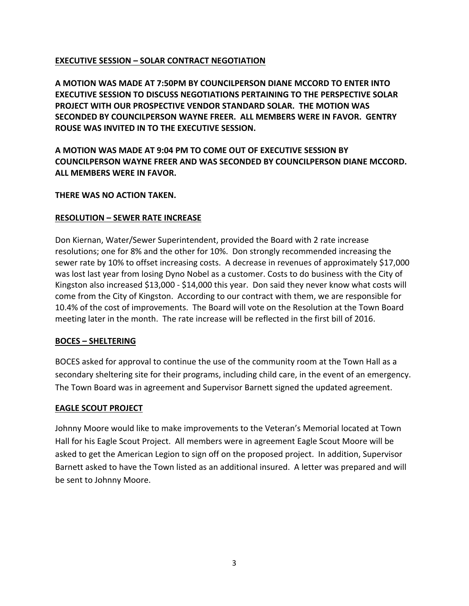# **EXECUTIVE SESSION – SOLAR CONTRACT NEGOTIATION**

**A MOTION WAS MADE AT 7:50PM BY COUNCILPERSON DIANE MCCORD TO ENTER INTO EXECUTIVE SESSION TO DISCUSS NEGOTIATIONS PERTAINING TO THE PERSPECTIVE SOLAR PROJECT WITH OUR PROSPECTIVE VENDOR STANDARD SOLAR. THE MOTION WAS SECONDED BY COUNCILPERSON WAYNE FREER. ALL MEMBERS WERE IN FAVOR. GENTRY ROUSE WAS INVITED IN TO THE EXECUTIVE SESSION.** 

**A MOTION WAS MADE AT 9:04 PM TO COME OUT OF EXECUTIVE SESSION BY COUNCILPERSON WAYNE FREER AND WAS SECONDED BY COUNCILPERSON DIANE MCCORD. ALL MEMBERS WERE IN FAVOR.**

## **THERE WAS NO ACTION TAKEN.**

## **RESOLUTION – SEWER RATE INCREASE**

Don Kiernan, Water/Sewer Superintendent, provided the Board with 2 rate increase resolutions; one for 8% and the other for 10%. Don strongly recommended increasing the sewer rate by 10% to offset increasing costs. A decrease in revenues of approximately \$17,000 was lost last year from losing Dyno Nobel as a customer. Costs to do business with the City of Kingston also increased \$13,000 - \$14,000 this year. Don said they never know what costs will come from the City of Kingston. According to our contract with them, we are responsible for 10.4% of the cost of improvements. The Board will vote on the Resolution at the Town Board meeting later in the month. The rate increase will be reflected in the first bill of 2016.

### **BOCES – SHELTERING**

BOCES asked for approval to continue the use of the community room at the Town Hall as a secondary sheltering site for their programs, including child care, in the event of an emergency. The Town Board was in agreement and Supervisor Barnett signed the updated agreement.

# **EAGLE SCOUT PROJECT**

Johnny Moore would like to make improvements to the Veteran's Memorial located at Town Hall for his Eagle Scout Project. All members were in agreement Eagle Scout Moore will be asked to get the American Legion to sign off on the proposed project. In addition, Supervisor Barnett asked to have the Town listed as an additional insured. A letter was prepared and will be sent to Johnny Moore.